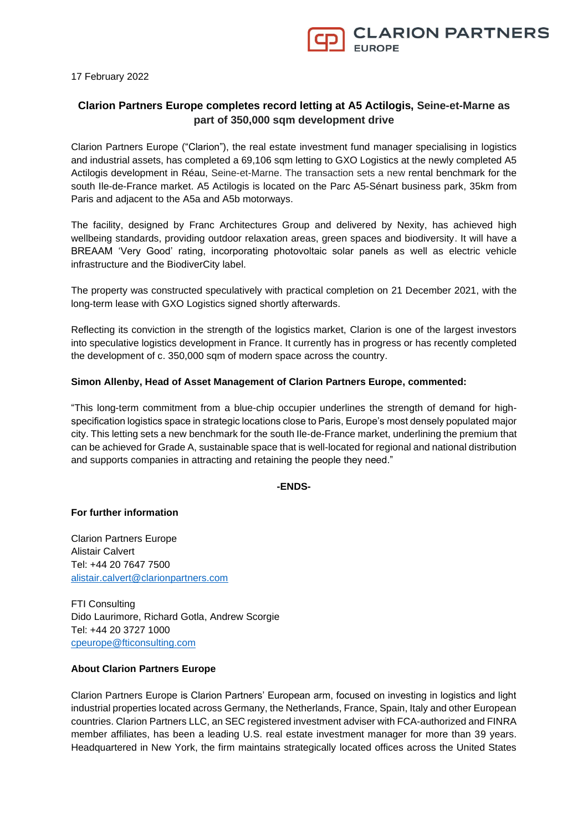17 February 2022

# **Clarion Partners Europe completes record letting at A5 Actilogis, Seine-et-Marne as part of 350,000 sqm development drive**

Clarion Partners Europe ("Clarion"), the real estate investment fund manager specialising in logistics and industrial assets, has completed a 69,106 sqm letting to GXO Logistics at the newly completed A5 Actilogis development in Réau, Seine-et-Marne. The transaction sets a new rental benchmark for the south Ile-de-France market. A5 Actilogis is located on the Parc A5-Sénart business park, 35km from Paris and adjacent to the A5a and A5b motorways.

The facility, designed by Franc Architectures Group and delivered by Nexity, has achieved high wellbeing standards, providing outdoor relaxation areas, green spaces and biodiversity. It will have a BREAAM 'Very Good' rating, incorporating photovoltaic solar panels as well as electric vehicle infrastructure and the BiodiverCity label.

The property was constructed speculatively with practical completion on 21 December 2021, with the long-term lease with GXO Logistics signed shortly afterwards.

Reflecting its conviction in the strength of the logistics market, Clarion is one of the largest investors into speculative logistics development in France. It currently has in progress or has recently completed the development of c. 350,000 sqm of modern space across the country.

## **Simon Allenby, Head of Asset Management of Clarion Partners Europe, commented:**

"This long-term commitment from a blue-chip occupier underlines the strength of demand for highspecification logistics space in strategic locations close to Paris, Europe's most densely populated major city. This letting sets a new benchmark for the south Ile-de-France market, underlining the premium that can be achieved for Grade A, sustainable space that is well-located for regional and national distribution and supports companies in attracting and retaining the people they need."

### **-ENDS-**

## **For further information**

Clarion Partners Europe Alistair Calvert Tel: +44 20 7647 7500 [alistair.calvert@clarionpartners.com](mailto:alistair.calvert@clarionpartners.com)

FTI Consulting Dido Laurimore, Richard Gotla, Andrew Scorgie Tel: +44 20 3727 1000 [cpeurope@fticonsulting.com](mailto:cpeurope@fticonsulting.com)

## **About Clarion Partners Europe**

Clarion Partners Europe is Clarion Partners' European arm, focused on investing in logistics and light industrial properties located across Germany, the Netherlands, France, Spain, Italy and other European countries. Clarion Partners LLC, an SEC registered investment adviser with FCA-authorized and FINRA member affiliates, has been a leading U.S. real estate investment manager for more than 39 years. Headquartered in New York, the firm maintains strategically located offices across the United States